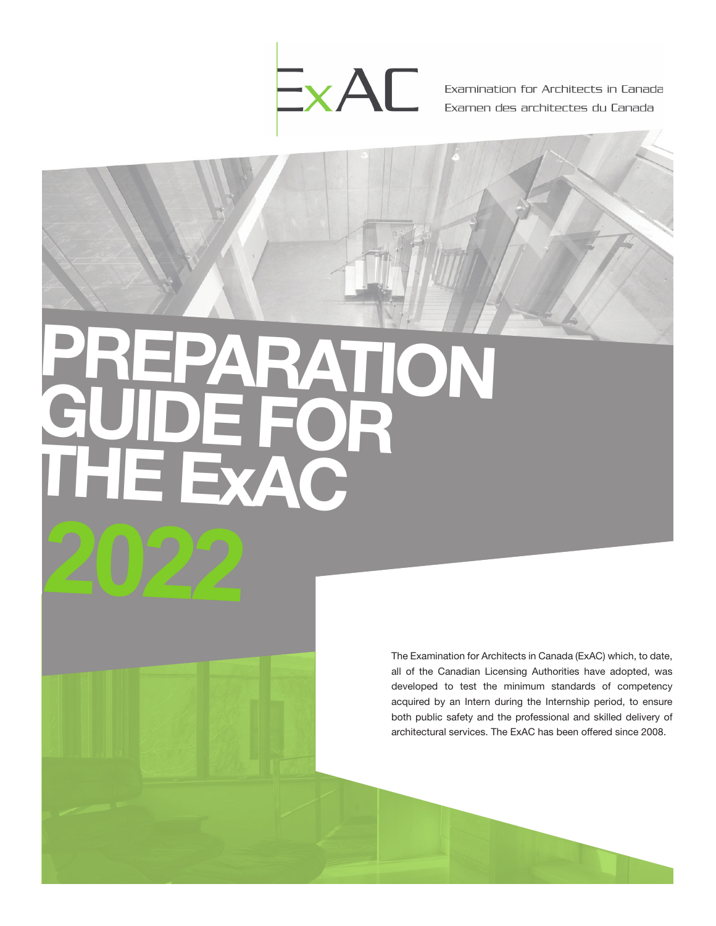

# ON **GUIDE FOR** THE EXAC

The Examination for Architects in Canada (ExAC) which, to date, all of the Canadian Licensing Authorities have adopted, was developed to test the minimum standards of competency acquired by an Intern during the Internship period, to ensure both public safety and the professional and skilled delivery of architectural services. The ExAC has been offered since 2008.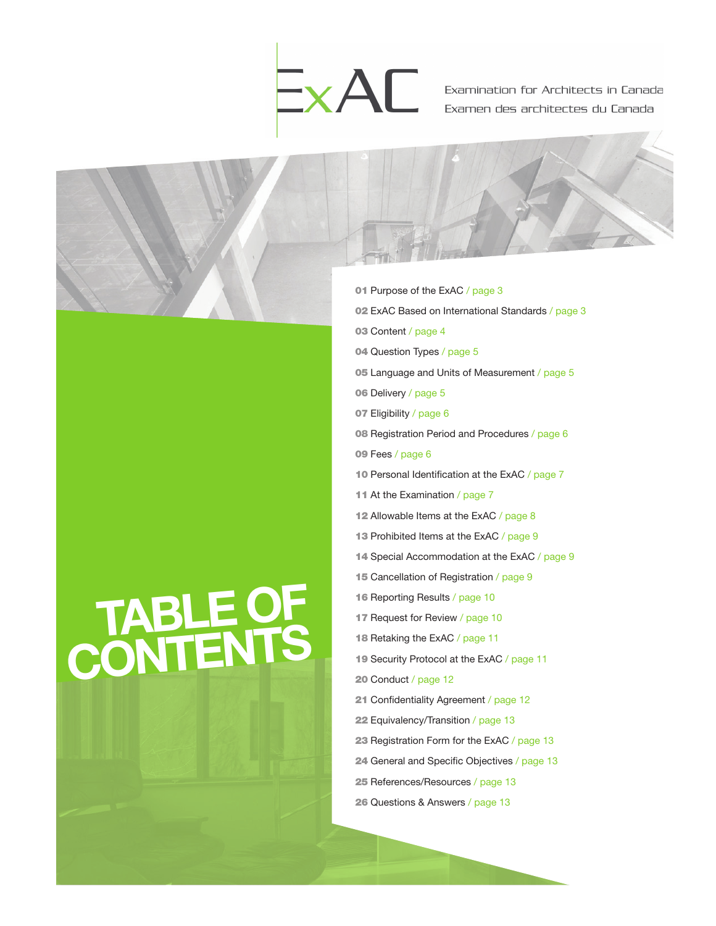



- 01 Purpose of the ExAC / page 3 02 ExAC Based on International Standards / page 3 03 Content / page 4 04 Question Types / page 5 05 Language and Units of Measurement / page 5 06 Delivery / page 5 07 Eligibility / page 6 08 Registration Period and Procedures / page 6 09 Fees / page 6 10 Personal Identification at the ExAC / page 7 11 At the Examination / page 7 12 Allowable Items at the ExAC / page 8 13 Prohibited Items at the ExAC / page 9 14 Special Accommodation at the ExAC / page 9 15 Cancellation of Registration / page 9 16 Reporting Results / page 10 17 Request for Review / page 10 18 Retaking the ExAC / page 11 19 Security Protocol at the ExAC / page 11 20 Conduct / page 12 21 Confidentiality Agreement / page 12 22 Equivalency/Transition / page 13 23 Registration Form for the ExAC / page 13 24 General and Specific Objectives / page 13
	- 25 References/Resources / page 13
	- 26 Questions & Answers / page 13

## TABLE OF **CONTENTS**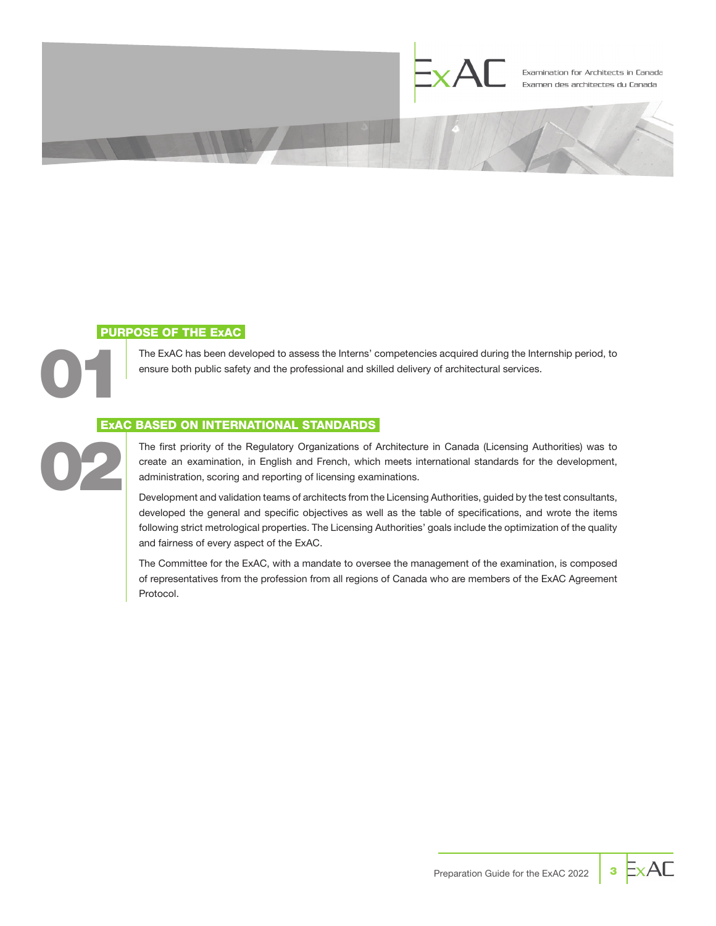

### PURPOSE OF THE ExAC

02

01

The ExAC has been developed to assess the Interns' competencies acquired during the Internship period, to ensure both public safety and the professional and skilled delivery of architectural services.

#### ExAC BASED ON INTERNATIONAL STANDARDS

The first priority of the Regulatory Organizations of Architecture in Canada (Licensing Authorities) was to create an examination, in English and French, which meets international standards for the development, administration, scoring and reporting of licensing examinations.

Development and validation teams of architects from the Licensing Authorities, guided by the test consultants, developed the general and specific objectives as well as the table of specifications, and wrote the items following strict metrological properties. The Licensing Authorities' goals include the optimization of the quality and fairness of every aspect of the ExAC.

The Committee for the ExAC, with a mandate to oversee the management of the examination, is composed of representatives from the profession from all regions of Canada who are members of the ExAC Agreement Protocol.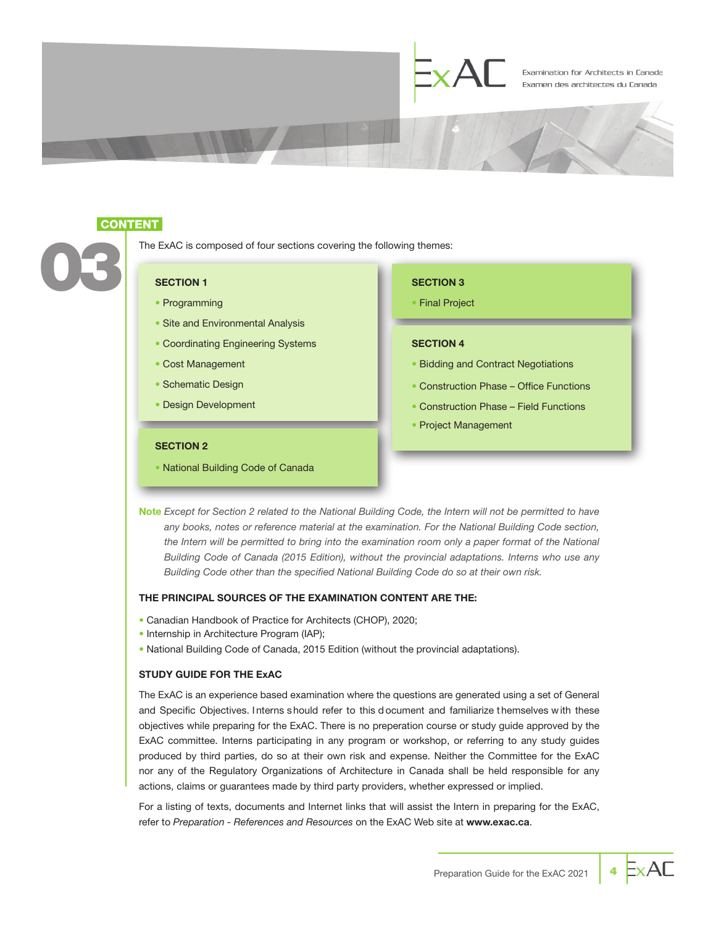

#### **CONTENT**

The ExAC is composed of four sections covering the following themes: The ExAC is co

- Programming
- Site and Environmental Analysis
- Coordinating Engineering Systems
- Cost Management
- Schematic Design
- Design Development

#### • Final Project

SECTION 3

#### SECTION 4

- Bidding and Contract Negotiations
- Construction Phase Office Functions
- Construction Phase Field Functions
- Project Management

#### SECTION 2

• National Building Code of Canada

Note *Except for Section 2 related to the National Building Code, the Intern will not be permitted to have*  any books, notes or reference material at the examination. For the National Building Code section, the Intern will be permitted to bring into the examination room only a paper format of the National *Building Code of Canada (2015 Edition), without the provincial adaptations. Interns who use any Building Code other than the specified National Building Code do so at their own risk.*

#### THE PRINCIPAL SOURCES OF THE EXAMINATION CONTENT ARE THE:

- Canadian Handbook of Practice for Architects (CHOP), 2020;
- Internship in Architecture Program (IAP);
- National Building Code of Canada, 2015 Edition (without the provincial adaptations).

#### STUDY GUIDE FOR THE ExAC

The ExAC is an experience based examination where the questions are generated using a set of General and Specific Objectives. I nterns s hould refer to this d ocument and familiarize t hemselves w ith these objectives while preparing for the ExAC. There is no preperation course or study guide approved by the ExAC committee. Interns participating in any program or workshop, or referring to any study guides produced by third parties, do so at their own risk and expense. Neither the Committee for the ExAC nor any of the Regulatory Organizations of Architecture in Canada shall be held responsible for any actions, claims or guarantees made by third party providers, whether expressed or implied.

For a listing of texts, documents and Internet links that will assist the Intern in preparing for the ExAC, refer to *Preparation - References and Resources* on the ExAC Web site at www.exac.ca.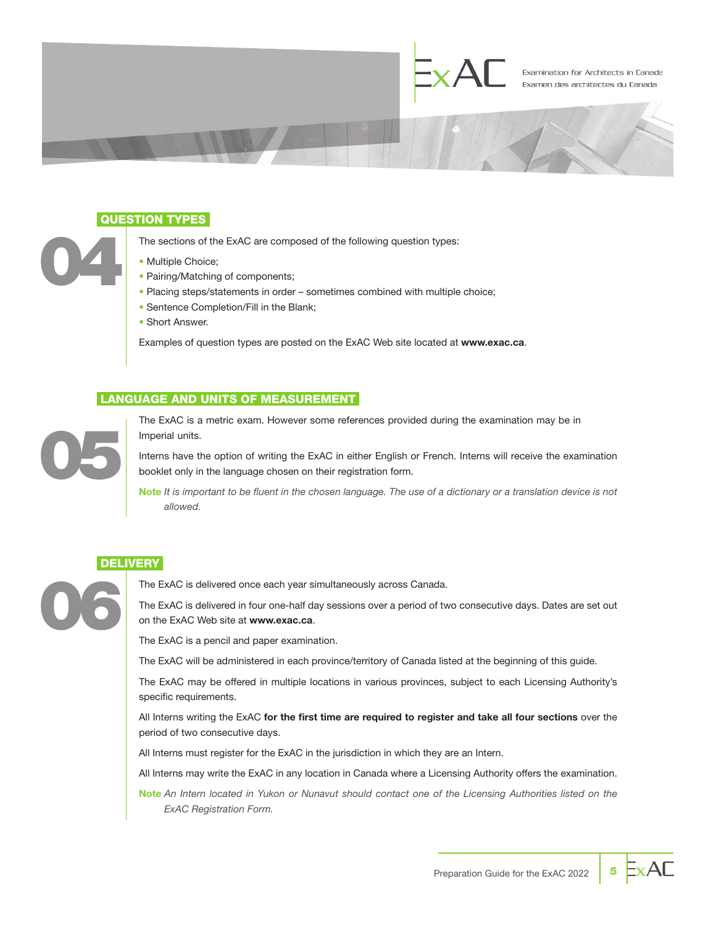

#### QUESTION TYPES

The sections of the ExAC are composed of the following question types:

- Multiple Choice;
- Pairing/Matching of components;
- Placing steps/statements in order sometimes combined with multiple choice;
- Sentence Completion/Fill in the Blank;
- Short Answer.

Examples of question types are posted on the ExAC Web site located at www.exac.ca.

#### LANGUAGE AND UNITS OF MEASUREMENT



06

04

The ExAC is a metric exam. However some references provided during the examination may be in Imperial units.

Interns have the option of writing the ExAC in either English or French. Interns will receive the examination booklet only in the language chosen on their registration form.

Note *It is important to be fluent in the chosen language. The use of a dictionary or a translation device is not allowed.*

#### **DELIVERY**

The ExAC is delivered once each year simultaneously across Canada.

The ExAC is delivered in four one-half day sessions over a period of two consecutive days. Dates are set out on the ExAC Web site at www.exac.ca.

The ExAC is a pencil and paper examination.

The ExAC will be administered in each province/territory of Canada listed at the beginning of this guide.

The ExAC may be offered in multiple locations in various provinces, subject to each Licensing Authority's specific requirements.

All Interns writing the ExAC for the first time are required to register and take all four sections over the period of two consecutive days.

All Interns must register for the ExAC in the jurisdiction in which they are an Intern.

All Interns may write the ExAC in any location in Canada where a Licensing Authority offers the examination.

Note *An Intern located in Yukon or Nunavut should contact one of the Licensing Authorities listed on the ExAC Registration Form.*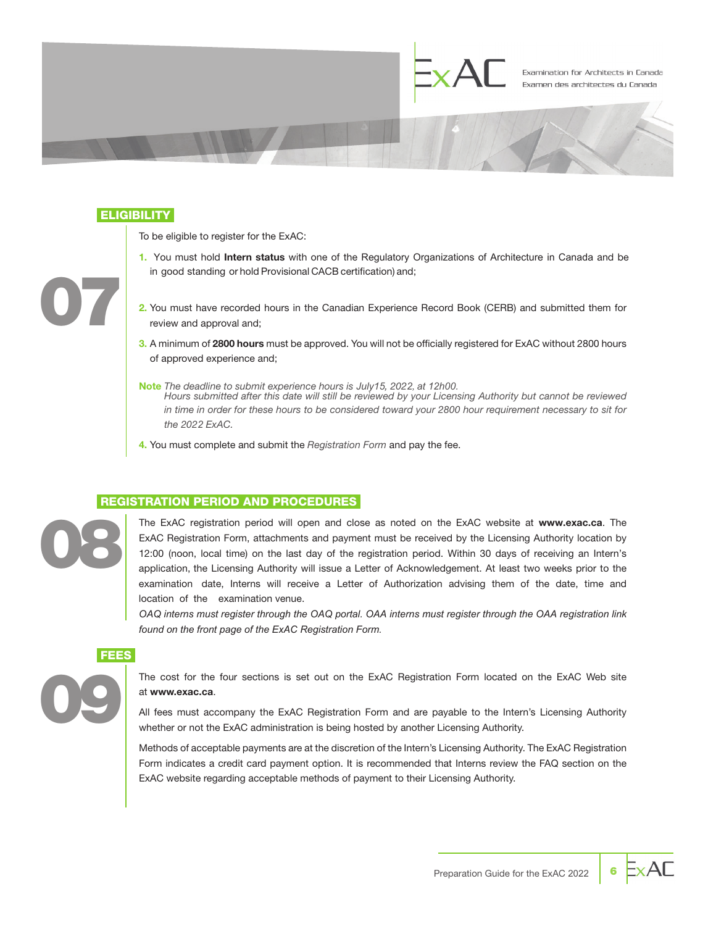

#### **ELIGIBILITY**

To be eligible to register for the ExAC:

- 1. You must hold Intern status with one of the Regulatory Organizations of Architecture in Canada and be in good standing or hold Provisional CACB certification) and;
- 2. You must have recorded hours in the Canadian Experience Record Book (CERB) and submitted them for review and approval and;
- 3. A minimum of 2800 hours must be approved. You will not be officially registered for ExAC without 2800 hours of approved experience and;
- Note *The deadline to submit experience hours is July15, 2022, at 12h00. Hours submitted after this date will still be reviewed by your Licensing Authority but cannot be reviewed in time in order for these hours to be considered toward your 2800 hour requirement necessary to sit for the 2022 ExAC.*
- 4. You must complete and submit the *Registration Form* and pay the fee.

#### REGISTRATION PERIOD AND PROCEDURES

08

09

07

The ExAC registration period will open and close as noted on the ExAC website at www.exac.ca. The ExAC Registration Form, attachments and payment must be received by the Licensing Authority location by 12:00 (noon, local time) on the last day of the registration period. Within 30 days of receiving an Intern's application, the Licensing Authority will issue a Letter of Acknowledgement. At least two weeks prior to the examination date, Interns will receive a Letter of Authorization advising them of the date, time and location of the examination venue.

*OAQ interns must register through the OAQ portal. OAA interns must register through the OAA registration link found on the front page of the ExAC Registration Form.* 

**FEES** 

The cost for the four sections is set out on the ExAC Registration Form located on the ExAC Web site at www.exac.ca.

All fees must accompany the ExAC Registration Form and are payable to the Intern's Licensing Authority whether or not the ExAC administration is being hosted by another Licensing Authority.

Methods of acceptable payments are at the discretion of the Intern's Licensing Authority. The ExAC Registration Form indicates a credit card payment option. It is recommended that Interns review the FAQ section on the ExAC website regarding acceptable methods of payment to their Licensing Authority.

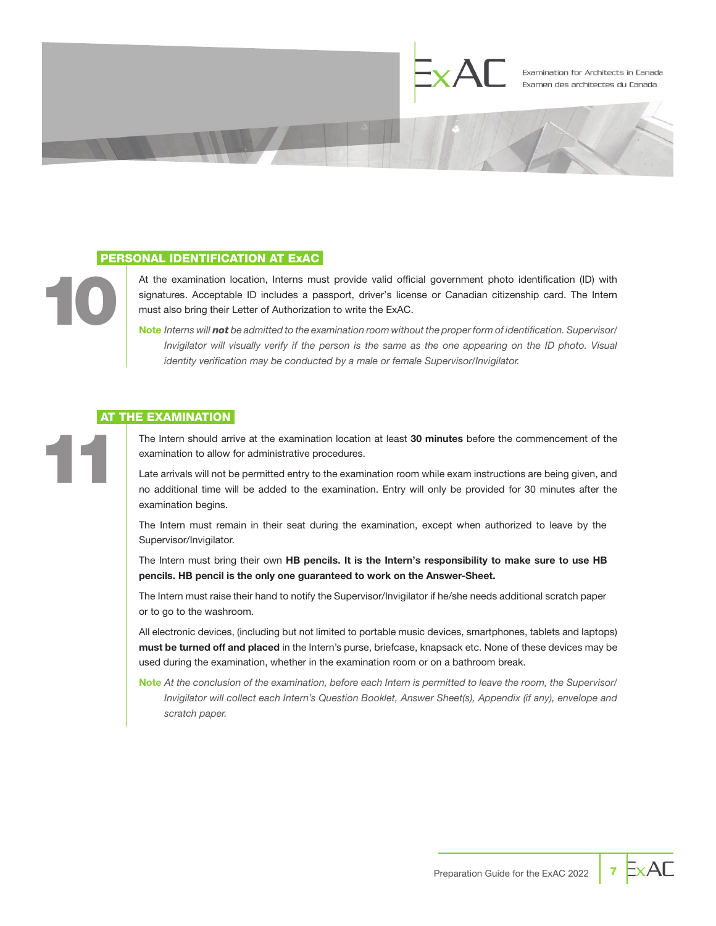

#### PERSONAL IDENTIFICATION AT ExAC

At the examination location, Interns must provide valid official government photo identification (ID) with signatures. Acceptable ID includes a passport, driver's license or Canadian citizenship card. The Intern must also bring their Letter of Authorization to write the ExAC.

Note *Interns will not be admitted to the examination room without the proper form of identification. Supervisor/ Invigilator will visually verify if the person is the same as the one appearing on the ID photo. Visual identity verification may be conducted by a male or female Supervisor/Invigilator.*

#### **AT THE EXAMINATION**

10

11

The Intern should arrive at the examination location at least 30 minutes before the commencement of the examination to allow for administrative procedures.

Late arrivals will not be permitted entry to the examination room while exam instructions are being given, and no additional time will be added to the examination. Entry will only be provided for 30 minutes after the examination begins.

The Intern must remain in their seat during the examination, except when authorized to leave by the Supervisor/Invigilator.

The Intern must bring their own HB pencils. It is the Intern's responsibility to make sure to use HB pencils. HB pencil is the only one guaranteed to work on the Answer-Sheet.

The Intern must raise their hand to notify the Supervisor/Invigilator if he/she needs additional scratch paper or to go to the washroom.

All electronic devices, (including but not limited to portable music devices, smartphones, tablets and laptops) must be turned off and placed in the Intern's purse, briefcase, knapsack etc. None of these devices may be used during the examination, whether in the examination room or on a bathroom break.

Note *At the conclusion of the examination, before each Intern is permitted to leave the room, the Supervisor/ Invigilator will collect each Intern's Question Booklet, Answer Sheet(s), Appendix (if any), envelope and scratch paper.*

ExAC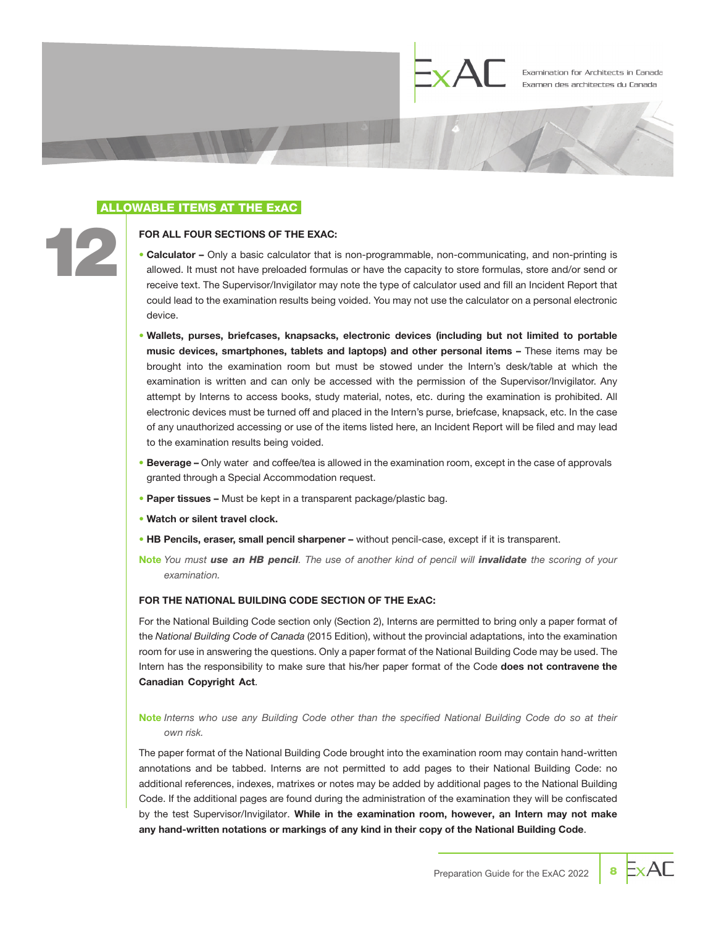

#### ALLOWABLE ITEMS AT THE ExAC

12

#### FOR ALL FOUR SECTIONS OF THE EXAC:

- Calculator Only a basic calculator that is non-programmable, non-communicating, and non-printing is allowed. It must not have preloaded formulas or have the capacity to store formulas, store and/or send or receive text. The Supervisor/Invigilator may note the type of calculator used and fill an Incident Report that could lead to the examination results being voided. You may not use the calculator on a personal electronic device.
- Wallets, purses, briefcases, knapsacks, electronic devices (including but not limited to portable music devices, smartphones, tablets and laptops) and other personal items – These items may be brought into the examination room but must be stowed under the Intern's desk/table at which the examination is written and can only be accessed with the permission of the Supervisor/Invigilator. Any attempt by Interns to access books, study material, notes, etc. during the examination is prohibited. All electronic devices must be turned off and placed in the Intern's purse, briefcase, knapsack, etc. In the case of any unauthorized accessing or use of the items listed here, an Incident Report will be filed and may lead to the examination results being voided.
- Beverage Only water and coffee/tea is allowed in the examination room, except in the case of approvals granted through a Special Accommodation request.
- Paper tissues Must be kept in a transparent package/plastic bag.
- Watch or silent travel clock.
- HB Pencils, eraser, small pencil sharpener without pencil-case, except if it is transparent.
- Note *You must use an HB pencil. The use of another kind of pencil will invalidate the scoring of your examination.*

#### FOR THE NATIONAL BUILDING CODE SECTION OF THE ExAC:

For the National Building Code section only (Section 2), Interns are permitted to bring only a paper format of the *National Building Code of Canada* (2015 Edition), without the provincial adaptations, into the examination room for use in answering the questions. Only a paper format of the National Building Code may be used. The Intern has the responsibility to make sure that his/her paper format of the Code does not contravene the Canadian Copyright Act.

#### Note *Interns who use any Building Code other than the specified National Building Code do so at their own risk.*

The paper format of the National Building Code brought into the examination room may contain hand-written annotations and be tabbed. Interns are not permitted to add pages to their National Building Code: no additional references, indexes, matrixes or notes may be added by additional pages to the National Building Code. If the additional pages are found during the administration of the examination they will be confiscated by the test Supervisor/Invigilator. While in the examination room, however, an Intern may not make any hand-written notations or markings of any kind in **their** copy of the National Building Code.

ExAC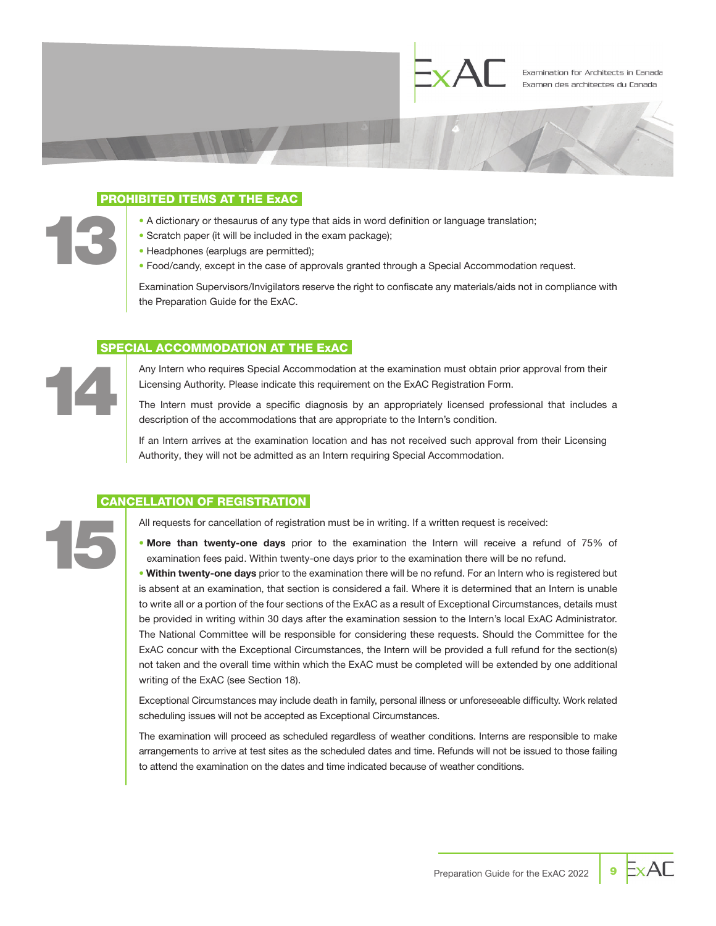

#### PROHIBITED ITEMS AT THE ExAC

- A dictionary or thesaurus of any type that aids in word definition or language translation;
- Scratch paper (it will be included in the exam package);
- Headphones (earplugs are permitted);
- Food/candy, except in the case of approvals granted through a Special Accommodation request.

Examination Supervisors/Invigilators reserve the right to confiscate any materials/aids not in compliance with the Preparation Guide for the ExAC.

#### SPECIAL ACCOMMODATION AT THE ExAC

Any Intern who requires Special Accommodation at the examination must obtain prior approval from their Licensing Authority. Please indicate this requirement on the ExAC Registration Form.

The Intern must provide a specific diagnosis by an appropriately licensed professional that includes a description of the accommodations that are appropriate to the Intern's condition.

If an Intern arrives at the examination location and has not received such approval from their Licensing Authority, they will not be admitted as an Intern requiring Special Accommodation.

#### CANCELLATION OF REGISTRATION

14

15

13

All requests for cancellation of registration must be in writing. If a written request is received:

• More than twenty-one days prior to the examination the Intern will receive a refund of 75% of examination fees paid. Within twenty-one days prior to the examination there will be no refund.

• Within twenty-one days prior to the examination there will be no refund. For an Intern who is registered but is absent at an examination, that section is considered a fail. Where it is determined that an Intern is unable to write all or a portion of the four sections of the ExAC as a result of Exceptional Circumstances, details must be provided in writing within 30 days after the examination session to the Intern's local ExAC Administrator. The National Committee will be responsible for considering these requests. Should the Committee for the ExAC concur with the Exceptional Circumstances, the Intern will be provided a full refund for the section(s) not taken and the overall time within which the ExAC must be completed will be extended by one additional writing of the ExAC (see Section 18).

Exceptional Circumstances may include death in family, personal illness or unforeseeable difficulty. Work related scheduling issues will not be accepted as Exceptional Circumstances.

The examination will proceed as scheduled regardless of weather conditions. Interns are responsible to make arrangements to arrive at test sites as the scheduled dates and time. Refunds will not be issued to those failing to attend the examination on the dates and time indicated because of weather conditions.

 $\mathsf{ExAF}$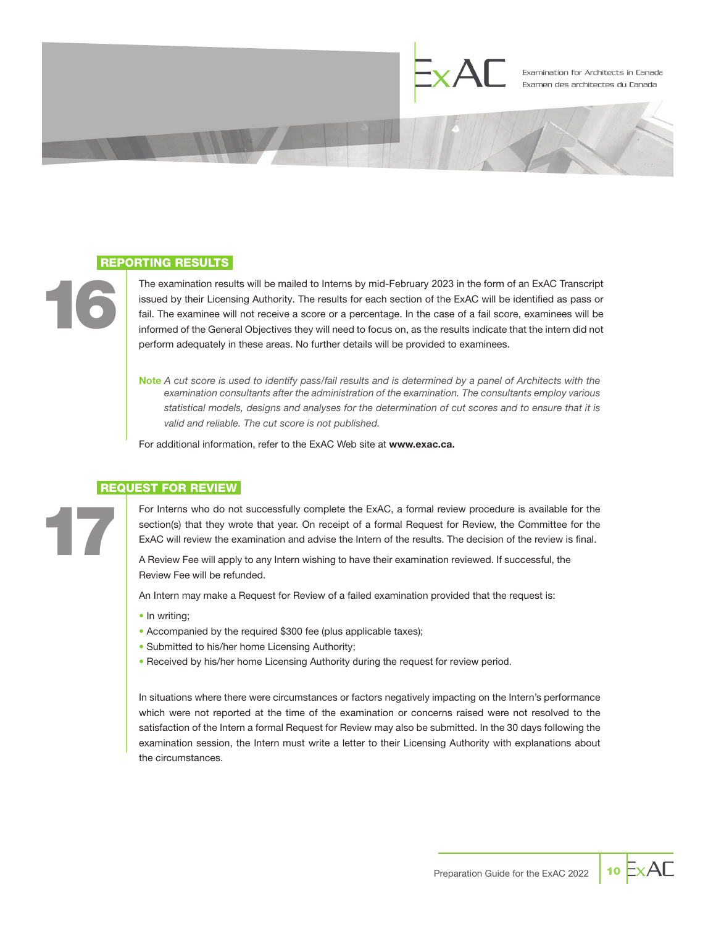

#### REPORTING RESULTS

16

17

The examination results will be mailed to Interns by mid-February 2023 in the form of an ExAC Transcript issued by their Licensing Authority. The results for each section of the ExAC will be identified as pass or fail. The examinee will not receive a score or a percentage. In the case of a fail score, examinees will be informed of the General Objectives they will need to focus on, as the results indicate that the intern did not perform adequately in these areas. No further details will be provided to examinees.

Note *A cut score is used to identify pass/fail results and is determined by a panel of Architects with the examination consultants after the administration of the examination. The consultants employ various statistical models, designs and analyses for the determination of cut scores and to ensure that it is valid and reliable. The cut score is not published.*

For additional information, refer to the ExAC Web site at www.exac.ca.

#### REQUEST FOR REVIEW

For Interns who do not successfully complete the ExAC, a formal review procedure is available for the section(s) that they wrote that year. On receipt of a formal Request for Review, the Committee for the ExAC will review the examination and advise the Intern of the results. The decision of the review is final.

A Review Fee will apply to any Intern wishing to have their examination reviewed. If successful, the Review Fee will be refunded.

An Intern may make a Request for Review of a failed examination provided that the request is:

- In writing;
- Accompanied by the required \$300 fee (plus applicable taxes);
- Submitted to his/her home Licensing Authority;
- Received by his/her home Licensing Authority during the request for review period.

In situations where there were circumstances or factors negatively impacting on the Intern's performance which were not reported at the time of the examination or concerns raised were not resolved to the satisfaction of the Intern a formal Request for Review may also be submitted. In the 30 days following the examination session, the Intern must write a letter to their Licensing Authority with explanations about the circumstances.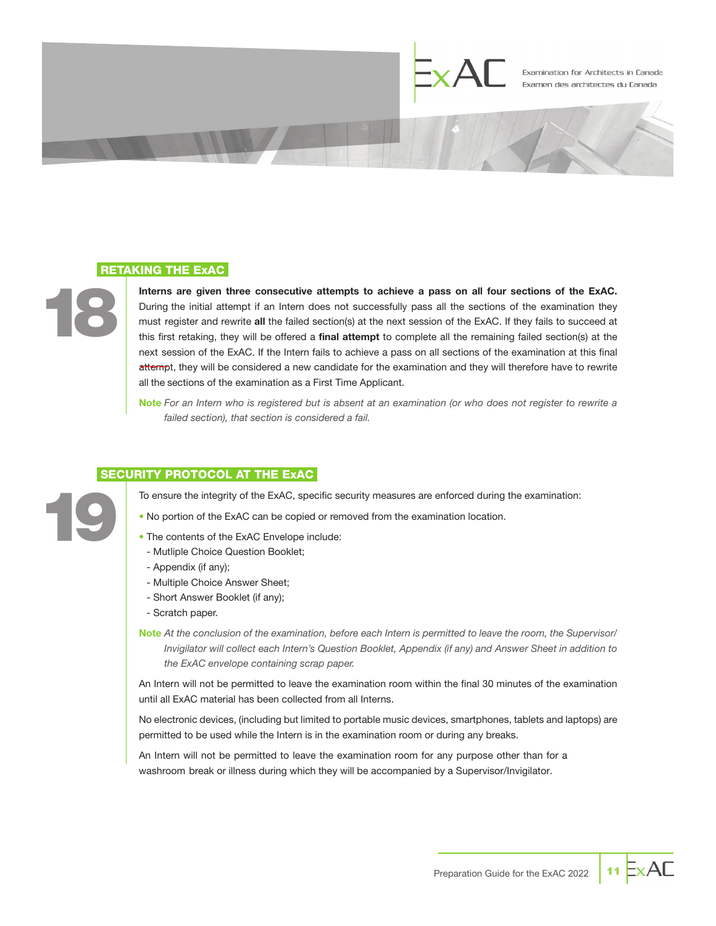

#### RETAKING THE ExAC

18

19

Interns are given three consecutive attempts to achieve a pass on all four sections of the ExAC. During the initial attempt if an Intern does not successfully pass all the sections of the examination they must register and rewrite all the failed section(s) at the next session of the ExAC. If they fails to succeed at this first retaking, they will be offered a *final attempt* to complete all the remaining failed section(s) at the next session of the ExAC. If the Intern fails to achieve a pass on all sections of the examination at this final atternpt, they will be considered a new candidate for the examination and they will therefore have to rewrite all the sections of the examination as a First Time Applicant.

Note *For an Intern who is registered but is absent at an examination (or who does not register to rewrite a failed section), that section is considered a fail.*

#### SECURITY PROTOCOL AT THE ExAC

To ensure the integrity of the ExAC, specific security measures are enforced during the examination:

- No portion of the ExAC can be copied or removed from the examination location.
- The contents of the ExAC Envelope include:
- Mutliple Choice Question Booklet;
- Appendix (if any);
- Multiple Choice Answer Sheet;
- Short Answer Booklet (if any);
- Scratch paper.
- Note *At the conclusion of the examination, before each Intern is permitted to leave the room, the Supervisor/ Invigilator will collect each Intern's Question Booklet, Appendix (if any) and Answer Sheet in addition to the ExAC envelope containing scrap paper.*

An Intern will not be permitted to leave the examination room within the final 30 minutes of the examination until all ExAC material has been collected from all Interns.

No electronic devices, (including but limited to portable music devices, smartphones, tablets and laptops) are permitted to be used while the Intern is in the examination room or during any breaks.

An Intern will not be permitted to leave the examination room for any purpose other than for a washroom break or illness during which they will be accompanied by a Supervisor/Invigilator.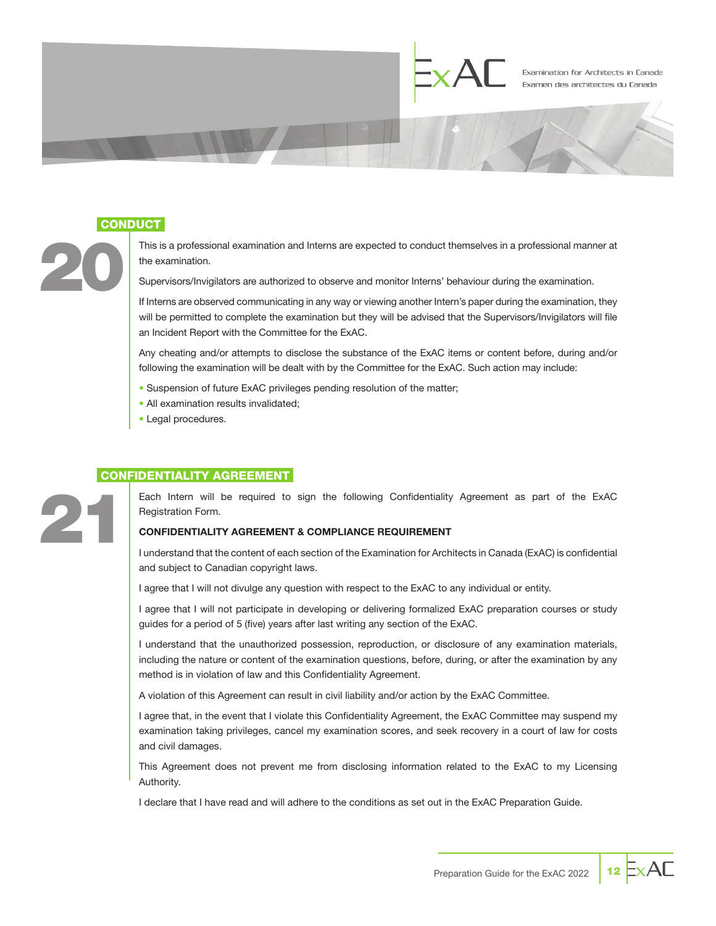

#### **CONDUCT**

20

21

This is a professional examination and Interns are expected to conduct themselves in a professional manner at the examination.

Supervisors/Invigilators are authorized to observe and monitor Interns' behaviour during the examination.

If Interns are observed communicating in any way or viewing another Intern's paper during the examination, they will be permitted to complete the examination but they will be advised that the Supervisors/Invigilators will file an Incident Report with the Committee for the ExAC.

Any cheating and/or attempts to disclose the substance of the ExAC items or content before, during and/or following the examination will be dealt with by the Committee for the ExAC. Such action may include:

- Suspension of future ExAC privileges pending resolution of the matter;
- All examination results invalidated;
- Legal procedures.

#### CONFIDENTIALITY AGREEMENT

Each Intern will be required to sign the following Confidentiality Agreement as part of the ExAC Registration Form.

#### CONFIDENTIALITY AGREEMENT & COMPLIANCE REQUIREMENT

I understand that the content of each section of the Examination for Architects in Canada (ExAC) is confidential and subject to Canadian copyright laws.

I agree that I will not divulge any question with respect to the ExAC to any individual or entity.

I agree that I will not participate in developing or delivering formalized ExAC preparation courses or study guides for a period of 5 (five) years after last writing any section of the ExAC.

I understand that the unauthorized possession, reproduction, or disclosure of any examination materials, including the nature or content of the examination questions, before, during, or after the examination by any method is in violation of law and this Confidentiality Agreement.

A violation of this Agreement can result in civil liability and/or action by the ExAC Committee.

I agree that, in the event that I violate this Confidentiality Agreement, the ExAC Committee may suspend my examination taking privileges, cancel my examination scores, and seek recovery in a court of law for costs and civil damages.

This Agreement does not prevent me from disclosing information related to the ExAC to my Licensing Authority.

I declare that I have read and will adhere to the conditions as set out in the ExAC Preparation Guide.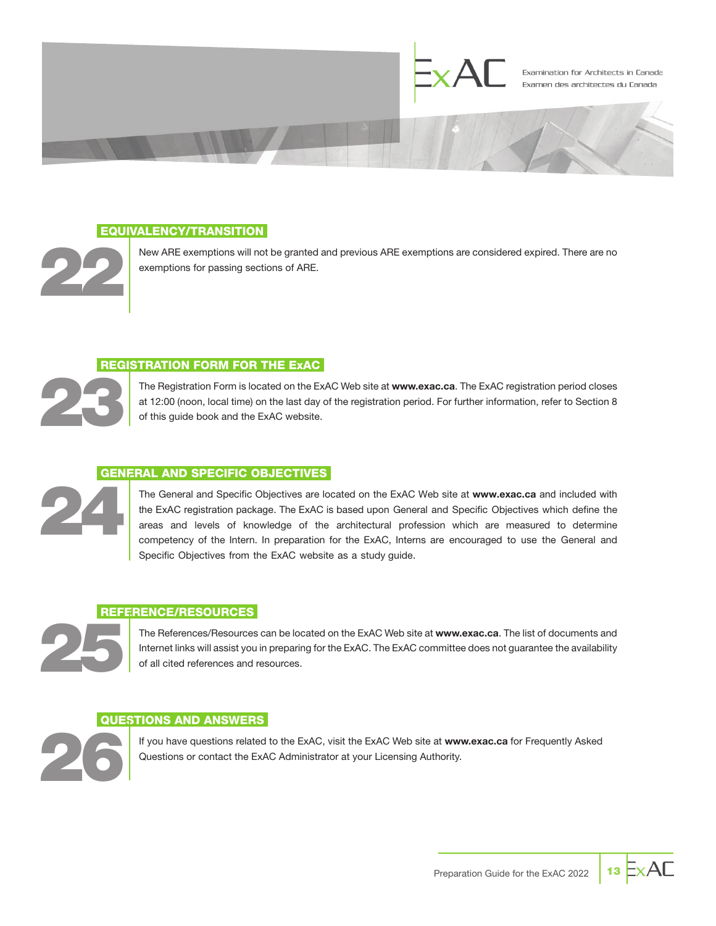

#### EQUIVALENCY/TRANSITION



New ARE exemptions will not be granted and previous ARE exemptions are considered expired. There are no exemptions for passing sections of ARE.

#### REGISTRATION FORM FOR THE ExAC

23

24

The Registration Form is located on the ExAC Web site at www.exac.ca. The ExAC registration period closes at 12:00 (noon, local time) on the last day of the registration period. For further information, refer to Section 8 of this guide book and the ExAC website.

#### GENERAL AND SPECIFIC OBJECTIVES

The General and Specific Objectives are located on the ExAC Web site at www.exac.ca and included with the ExAC registration package. The ExAC is based upon General and Specific Objectives which define the areas and levels of knowledge of the architectural profession which are measured to determine competency of the Intern. In preparation for the ExAC, Interns are encouraged to use the General and Specific Objectives from the ExAC website as a study guide.

### REFERENCE/RESOURCES 25

The References/Resources can be located on the ExAC Web site at www.exac.ca. The list of documents and Internet links will assist you in preparing for the ExAC. The ExAC committee does not guarantee the availability of all cited references and resources.

#### QUESTIONS AND ANSWERS



If you have questions related to the ExAC, visit the ExAC Web site at www.exac.ca for Frequently Asked Questions or contact the ExAC Administrator at your Licensing Authority.